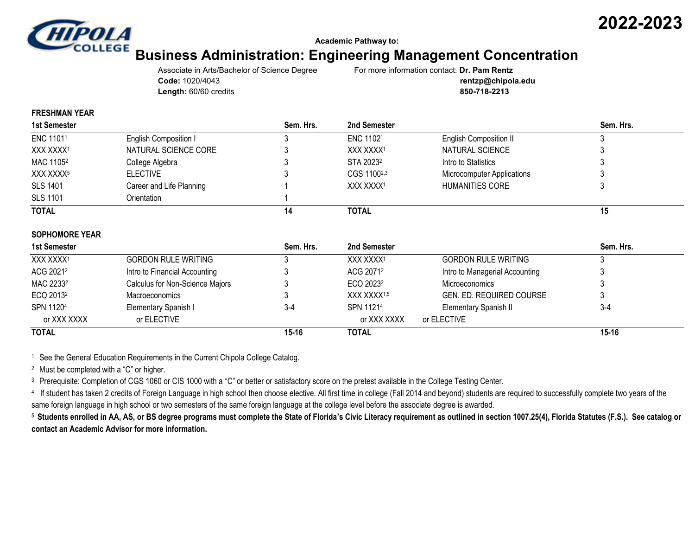

#### **Academic Pathway to:**

# **Business Administration: Engineering Management Concentration**

Associate in Arts/Bachelor of Science Degree For more information contact: **Dr. Pam Rentz Code:** 1020/4043 **rentzp@chipola.edu Length:** 60/60 credits **850-718-2213**

**2022-2023**

#### **FRESHMAN YEAR**

| <b>1st Semester</b>   |                              | Sem. Hrs. | 2nd Semester          |                               | Sem. Hrs. |
|-----------------------|------------------------------|-----------|-----------------------|-------------------------------|-----------|
| ENC 11011             | <b>English Composition I</b> |           | ENC 11021             | <b>English Composition II</b> |           |
| XXX XXXX1             | NATURAL SCIENCE CORE         |           | XXX XXXX1             | NATURAL SCIENCE               |           |
| MAC 1105 <sup>2</sup> | College Algebra              |           | STA 2023 <sup>2</sup> | Intro to Statistics           |           |
| XXX XXXX <sup>5</sup> | <b>ELECTIVE</b>              |           | CGS 11002,3           | Microcomputer Applications    |           |
| <b>SLS 1401</b>       | Career and Life Planning     |           | XXX XXXX1             | HUMANITIES CORE               |           |
| <b>SLS 1101</b>       | Orientation                  |           |                       |                               |           |
| <b>TOTAL</b>          |                              | 14        | <b>TOTAL</b>          |                               | 15        |
|                       |                              |           |                       |                               |           |

#### **SOPHOMORE YEAR**

| 1st Semester          |                                 | Sem. Hrs. | 2nd Semester            |                                 | Sem. Hrs. |
|-----------------------|---------------------------------|-----------|-------------------------|---------------------------------|-----------|
| XXX XXXX1             | <b>GORDON RULE WRITING</b>      |           | XXX XXXX1               | <b>GORDON RULE WRITING</b>      |           |
| ACG 20212             | Intro to Financial Accounting   |           | ACG 20712               | Intro to Managerial Accounting  |           |
| MAC 2233 <sup>2</sup> | Calculus for Non-Science Majors |           | ECO 2023 <sup>2</sup>   | <b>Microeconomics</b>           |           |
| ECO 2013 <sup>2</sup> | <b>Macroeconomics</b>           |           | XXX XXXX <sup>1,5</sup> | <b>GEN. ED. REQUIRED COURSE</b> |           |
| SPN 11204             | Elementary Spanish I            | $3-4$     | SPN 11214               | Elementary Spanish II           | $3-4$     |
| or XXX XXXX           | or ELECTIVE                     |           | or XXX XXXX             | or ELECTIVE                     |           |
| <b>TOTAL</b>          |                                 | $15 - 16$ | <b>TOTAL</b>            |                                 | $15 - 16$ |

<sup>1</sup> See the General Education Requirements in the Current Chipola College Catalog.

<sup>2</sup> Must be completed with a "C" or higher.

<sup>3</sup> Prerequisite: Completion of CGS 1060 or CIS 1000 with a "C" or better or satisfactory score on the pretest available in the College Testing Center.

<sup>4</sup> If student has taken 2 credits of Foreign Language in high school then choose elective. All first time in college (Fall 2014 and beyond) students are required to successfully complete two years of the same foreign language in high school or two semesters of the same foreign language at the college level before the associate degree is awarded.

<sup>5</sup> **Students enrolled in AA, AS, or BS degree programs must complete the State of Florida's Civic Literacy requirement as outlined in section 1007.25(4), Florida Statutes (F.S.). See catalog or contact an Academic Advisor for more information.**